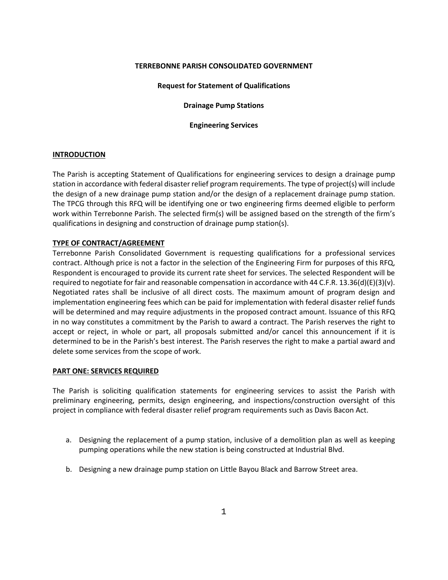## **TERREBONNE PARISH CONSOLIDATED GOVERNMENT**

#### **Request for Statement of Qualifications**

**Drainage Pump Stations**

**Engineering Services**

## **INTRODUCTION**

The Parish is accepting Statement of Qualifications for engineering services to design a drainage pump station in accordance with federal disaster relief program requirements. The type of project(s) will include the design of a new drainage pump station and/or the design of a replacement drainage pump station. The TPCG through this RFQ will be identifying one or two engineering firms deemed eligible to perform work within Terrebonne Parish. The selected firm(s) will be assigned based on the strength of the firm's qualifications in designing and construction of drainage pump station(s).

## **TYPE OF CONTRACT/AGREEMENT**

Terrebonne Parish Consolidated Government is requesting qualifications for a professional services contract. Although price is not a factor in the selection of the Engineering Firm for purposes of this RFQ, Respondent is encouraged to provide its current rate sheet for services. The selected Respondent will be required to negotiate for fair and reasonable compensation in accordance with 44 C.F.R. 13.36(d)(E)(3)(v). Negotiated rates shall be inclusive of all direct costs. The maximum amount of program design and implementation engineering fees which can be paid for implementation with federal disaster relief funds will be determined and may require adjustments in the proposed contract amount. Issuance of this RFQ in no way constitutes a commitment by the Parish to award a contract. The Parish reserves the right to accept or reject, in whole or part, all proposals submitted and/or cancel this announcement if it is determined to be in the Parish's best interest. The Parish reserves the right to make a partial award and delete some services from the scope of work.

#### **PART ONE: SERVICES REQUIRED**

The Parish is soliciting qualification statements for engineering services to assist the Parish with preliminary engineering, permits, design engineering, and inspections/construction oversight of this project in compliance with federal disaster relief program requirements such as Davis Bacon Act.

- a. Designing the replacement of a pump station, inclusive of a demolition plan as well as keeping pumping operations while the new station is being constructed at Industrial Blvd.
- b. Designing a new drainage pump station on Little Bayou Black and Barrow Street area.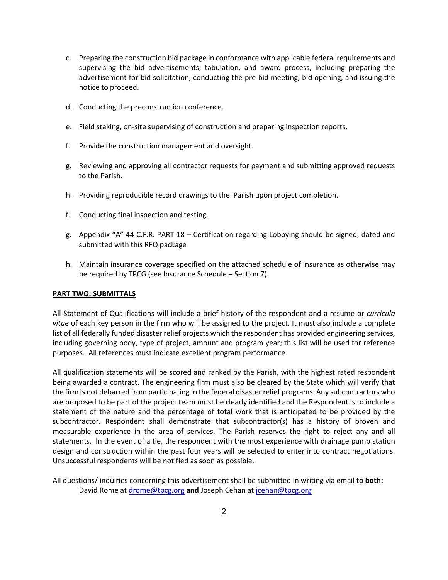- c. Preparing the construction bid package in conformance with applicable federal requirements and supervising the bid advertisements, tabulation, and award process, including preparing the advertisement for bid solicitation, conducting the pre-bid meeting, bid opening, and issuing the notice to proceed.
- d. Conducting the preconstruction conference.
- e. Field staking, on-site supervising of construction and preparing inspection reports.
- f. Provide the construction management and oversight.
- g. Reviewing and approving all contractor requests for payment and submitting approved requests to the Parish.
- h. Providing reproducible record drawings to the Parish upon project completion.
- f. Conducting final inspection and testing.
- g. Appendix "A" 44 C.F.R. PART 18 Certification regarding Lobbying should be signed, dated and submitted with this RFQ package
- h. Maintain insurance coverage specified on the attached schedule of insurance as otherwise may be required by TPCG (see Insurance Schedule – Section 7).

## **PART TWO: SUBMITTALS**

All Statement of Qualifications will include a brief history of the respondent and a resume or *curricula vitae* of each key person in the firm who will be assigned to the project. It must also include a complete list of all federally funded disaster relief projects which the respondent has provided engineering services, including governing body, type of project, amount and program year; this list will be used for reference purposes. All references must indicate excellent program performance.

All qualification statements will be scored and ranked by the Parish, with the highest rated respondent being awarded a contract. The engineering firm must also be cleared by the State which will verify that the firm is not debarred from participating in the federal disaster relief programs. Any subcontractors who are proposed to be part of the project team must be clearly identified and the Respondent is to include a statement of the nature and the percentage of total work that is anticipated to be provided by the subcontractor. Respondent shall demonstrate that subcontractor(s) has a history of proven and measurable experience in the area of services. The Parish reserves the right to reject any and all statements. In the event of a tie, the respondent with the most experience with drainage pump station design and construction within the past four years will be selected to enter into contract negotiations. Unsuccessful respondents will be notified as soon as possible.

All questions/ inquiries concerning this advertisement shall be submitted in writing via email to **both:** David Rome at [drome@tpcg.org](mailto:drome@tpcg.org) **and** Joseph Cehan a[t jcehan@tpcg.org](mailto:jcehan@tpcg.org)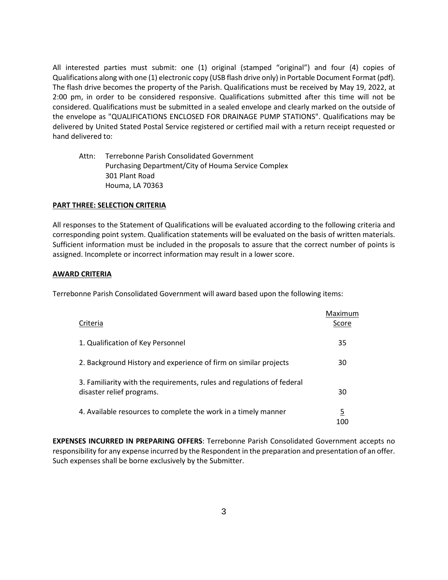All interested parties must submit: one (1) original (stamped "original") and four (4) copies of Qualifications along with one (1) electronic copy (USB flash drive only) in Portable Document Format (pdf). The flash drive becomes the property of the Parish. Qualifications must be received by May 19, 2022, at 2:00 pm, in order to be considered responsive. Qualifications submitted after this time will not be considered. Qualifications must be submitted in a sealed envelope and clearly marked on the outside of the envelope as "QUALIFICATIONS ENCLOSED FOR DRAINAGE PUMP STATIONS". Qualifications may be delivered by United Stated Postal Service registered or certified mail with a return receipt requested or hand delivered to:

Attn: Terrebonne Parish Consolidated Government Purchasing Department/City of Houma Service Complex 301 Plant Road Houma, LA 70363

## **PART THREE: SELECTION CRITERIA**

All responses to the Statement of Qualifications will be evaluated according to the following criteria and corresponding point system. Qualification statements will be evaluated on the basis of written materials. Sufficient information must be included in the proposals to assure that the correct number of points is assigned. Incomplete or incorrect information may result in a lower score.

## **AWARD CRITERIA**

Terrebonne Parish Consolidated Government will award based upon the following items:

| Criteria                                                                                            | Maximum<br>Score |
|-----------------------------------------------------------------------------------------------------|------------------|
| 1. Qualification of Key Personnel                                                                   | 35               |
| 2. Background History and experience of firm on similar projects                                    | 30               |
| 3. Familiarity with the requirements, rules and regulations of federal<br>disaster relief programs. | 30               |
| 4. Available resources to complete the work in a timely manner                                      | <u>5</u><br>100  |

**EXPENSES INCURRED IN PREPARING OFFERS**: Terrebonne Parish Consolidated Government accepts no responsibility for any expense incurred by the Respondent in the preparation and presentation of an offer. Such expenses shall be borne exclusively by the Submitter.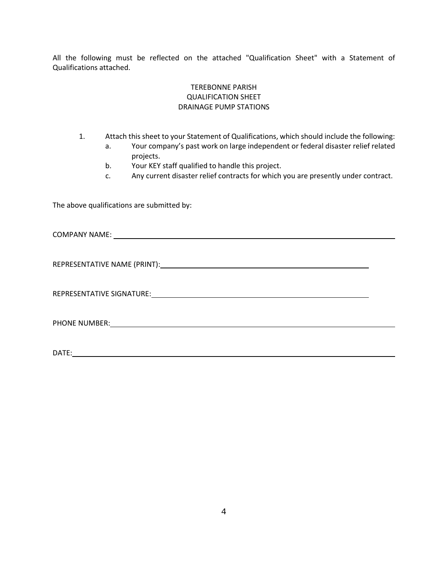All the following must be reflected on the attached "Qualification Sheet" with a Statement of Qualifications attached.

# TEREBONNE PARISH QUALIFICATION SHEET DRAINAGE PUMP STATIONS

- 1. Attach this sheet to your Statement of Qualifications, which should include the following:
	- a. Your company's past work on large independent or federal disaster relief related projects.
	- b. Your KEY staff qualified to handle this project.
	- c. Any current disaster relief contracts for which you are presently under contract.

The above qualifications are submitted by:

| COMPANY NAME: Example 2008 and 2008 and 2008 and 2008 and 2008 and 2008 and 2008 and 2008 and 2008 and 2008 and 2008 and 2008 and 2008 and 2008 and 2008 and 2008 and 2008 and 2008 and 2008 and 2008 and 2008 and 2008 and 20 |  |
|--------------------------------------------------------------------------------------------------------------------------------------------------------------------------------------------------------------------------------|--|
|                                                                                                                                                                                                                                |  |
|                                                                                                                                                                                                                                |  |
|                                                                                                                                                                                                                                |  |
|                                                                                                                                                                                                                                |  |
|                                                                                                                                                                                                                                |  |
| PHONE NUMBER: The contract of the contract of the contract of the contract of the contract of the contract of the contract of the contract of the contract of the contract of the contract of the contract of the contract of  |  |
|                                                                                                                                                                                                                                |  |
| DATE:                                                                                                                                                                                                                          |  |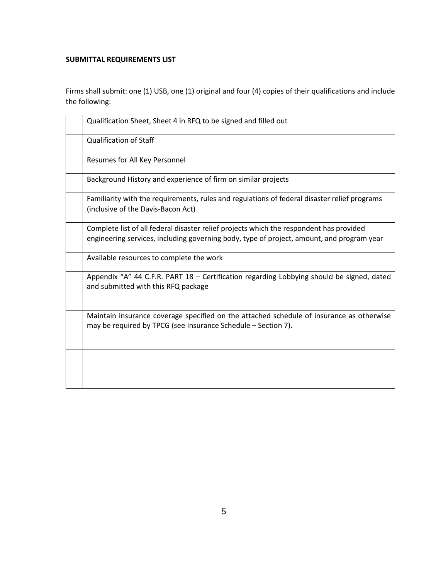# **SUBMITTAL REQUIREMENTS LIST**

Firms shall submit: one (1) USB, one (1) original and four (4) copies of their qualifications and include the following:

| Qualification Sheet, Sheet 4 in RFQ to be signed and filled out                                                                                                                      |
|--------------------------------------------------------------------------------------------------------------------------------------------------------------------------------------|
| <b>Qualification of Staff</b>                                                                                                                                                        |
| Resumes for All Key Personnel                                                                                                                                                        |
| Background History and experience of firm on similar projects                                                                                                                        |
| Familiarity with the requirements, rules and regulations of federal disaster relief programs<br>(inclusive of the Davis-Bacon Act)                                                   |
| Complete list of all federal disaster relief projects which the respondent has provided<br>engineering services, including governing body, type of project, amount, and program year |
| Available resources to complete the work                                                                                                                                             |
| Appendix "A" 44 C.F.R. PART 18 - Certification regarding Lobbying should be signed, dated<br>and submitted with this RFQ package                                                     |
| Maintain insurance coverage specified on the attached schedule of insurance as otherwise<br>may be required by TPCG (see Insurance Schedule - Section 7).                            |
|                                                                                                                                                                                      |
|                                                                                                                                                                                      |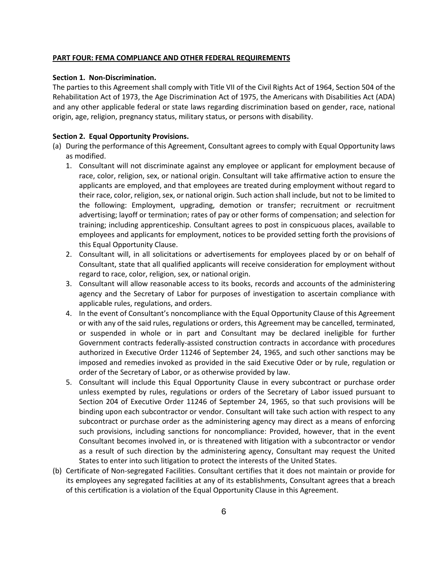#### **PART FOUR: FEMA COMPLIANCE AND OTHER FEDERAL REQUIREMENTS**

## **Section 1. Non-Discrimination.**

The parties to this Agreement shall comply with Title VII of the Civil Rights Act of 1964, Section 504 of the Rehabilitation Act of 1973, the Age Discrimination Act of 1975, the Americans with Disabilities Act (ADA) and any other applicable federal or state laws regarding discrimination based on gender, race, national origin, age, religion, pregnancy status, military status, or persons with disability.

## **Section 2. Equal Opportunity Provisions.**

- (a) During the performance of this Agreement, Consultant agrees to comply with Equal Opportunity laws as modified.
	- 1. Consultant will not discriminate against any employee or applicant for employment because of race, color, religion, sex, or national origin. Consultant will take affirmative action to ensure the applicants are employed, and that employees are treated during employment without regard to their race, color, religion, sex, or national origin. Such action shall include, but not to be limited to the following: Employment, upgrading, demotion or transfer; recruitment or recruitment advertising; layoff or termination; rates of pay or other forms of compensation; and selection for training; including apprenticeship. Consultant agrees to post in conspicuous places, available to employees and applicants for employment, notices to be provided setting forth the provisions of this Equal Opportunity Clause.
	- 2. Consultant will, in all solicitations or advertisements for employees placed by or on behalf of Consultant, state that all qualified applicants will receive consideration for employment without regard to race, color, religion, sex, or national origin.
	- 3. Consultant will allow reasonable access to its books, records and accounts of the administering agency and the Secretary of Labor for purposes of investigation to ascertain compliance with applicable rules, regulations, and orders.
	- 4. In the event of Consultant's noncompliance with the Equal Opportunity Clause of this Agreement or with any of the said rules, regulations or orders, this Agreement may be cancelled, terminated, or suspended in whole or in part and Consultant may be declared ineligible for further Government contracts federally-assisted construction contracts in accordance with procedures authorized in Executive Order 11246 of September 24, 1965, and such other sanctions may be imposed and remedies invoked as provided in the said Executive Oder or by rule, regulation or order of the Secretary of Labor, or as otherwise provided by law.
	- 5. Consultant will include this Equal Opportunity Clause in every subcontract or purchase order unless exempted by rules, regulations or orders of the Secretary of Labor issued pursuant to Section 204 of Executive Order 11246 of September 24, 1965, so that such provisions will be binding upon each subcontractor or vendor. Consultant will take such action with respect to any subcontract or purchase order as the administering agency may direct as a means of enforcing such provisions, including sanctions for noncompliance: Provided, however, that in the event Consultant becomes involved in, or is threatened with litigation with a subcontractor or vendor as a result of such direction by the administering agency, Consultant may request the United States to enter into such litigation to protect the interests of the United States.
- (b) Certificate of Non-segregated Facilities. Consultant certifies that it does not maintain or provide for its employees any segregated facilities at any of its establishments, Consultant agrees that a breach of this certification is a violation of the Equal Opportunity Clause in this Agreement.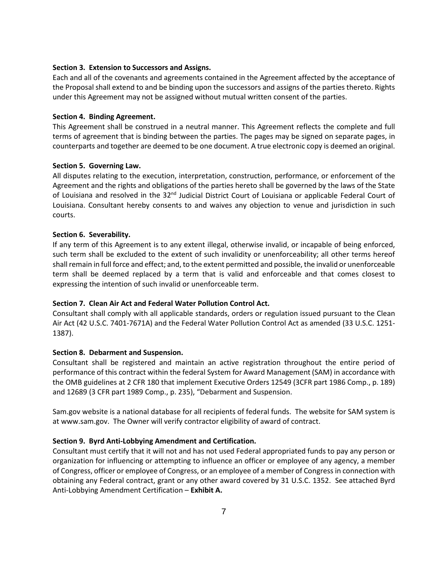## **Section 3. Extension to Successors and Assigns.**

Each and all of the covenants and agreements contained in the Agreement affected by the acceptance of the Proposal shall extend to and be binding upon the successors and assigns of the parties thereto. Rights under this Agreement may not be assigned without mutual written consent of the parties.

## **Section 4. Binding Agreement.**

This Agreement shall be construed in a neutral manner. This Agreement reflects the complete and full terms of agreement that is binding between the parties. The pages may be signed on separate pages, in counterparts and together are deemed to be one document. A true electronic copy is deemed an original.

## **Section 5. Governing Law.**

All disputes relating to the execution, interpretation, construction, performance, or enforcement of the Agreement and the rights and obligations of the parties hereto shall be governed by the laws of the State of Louisiana and resolved in the 32<sup>nd</sup> Judicial District Court of Louisiana or applicable Federal Court of Louisiana. Consultant hereby consents to and waives any objection to venue and jurisdiction in such courts.

## **Section 6. Severability.**

If any term of this Agreement is to any extent illegal, otherwise invalid, or incapable of being enforced, such term shall be excluded to the extent of such invalidity or unenforceability; all other terms hereof shall remain in full force and effect; and, to the extent permitted and possible, the invalid or unenforceable term shall be deemed replaced by a term that is valid and enforceable and that comes closest to expressing the intention of such invalid or unenforceable term.

## **Section 7. Clean Air Act and Federal Water Pollution Control Act.**

Consultant shall comply with all applicable standards, orders or regulation issued pursuant to the Clean Air Act (42 U.S.C. 7401-7671A) and the Federal Water Pollution Control Act as amended (33 U.S.C. 1251- 1387).

#### **Section 8. Debarment and Suspension.**

Consultant shall be registered and maintain an active registration throughout the entire period of performance of this contract within the federal System for Award Management (SAM) in accordance with the OMB guidelines at 2 CFR 180 that implement Executive Orders 12549 (3CFR part 1986 Comp., p. 189) and 12689 (3 CFR part 1989 Comp., p. 235), "Debarment and Suspension.

Sam.gov website is a national database for all recipients of federal funds. The website for SAM system is at www.sam.gov. The Owner will verify contractor eligibility of award of contract.

## **Section 9. Byrd Anti-Lobbying Amendment and Certification.**

Consultant must certify that it will not and has not used Federal appropriated funds to pay any person or organization for influencing or attempting to influence an officer or employee of any agency, a member of Congress, officer or employee of Congress, or an employee of a member of Congress in connection with obtaining any Federal contract, grant or any other award covered by 31 U.S.C. 1352. See attached Byrd Anti-Lobbying Amendment Certification – **Exhibit A.**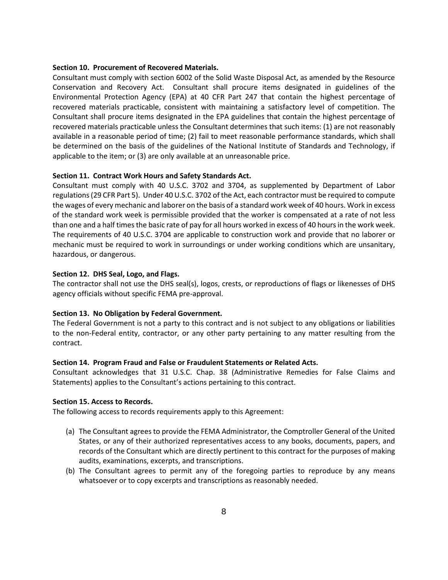#### **Section 10. Procurement of Recovered Materials.**

Consultant must comply with section 6002 of the Solid Waste Disposal Act, as amended by the Resource Conservation and Recovery Act. Consultant shall procure items designated in guidelines of the Environmental Protection Agency (EPA) at 40 CFR Part 247 that contain the highest percentage of recovered materials practicable, consistent with maintaining a satisfactory level of competition. The Consultant shall procure items designated in the EPA guidelines that contain the highest percentage of recovered materials practicable unless the Consultant determines that such items: (1) are not reasonably available in a reasonable period of time; (2) fail to meet reasonable performance standards, which shall be determined on the basis of the guidelines of the National Institute of Standards and Technology, if applicable to the item; or (3) are only available at an unreasonable price.

## **Section 11. Contract Work Hours and Safety Standards Act.**

Consultant must comply with 40 U.S.C. 3702 and 3704, as supplemented by Department of Labor regulations (29 CFR Part 5). Under 40 U.S.C. 3702 of the Act, each contractor must be required to compute the wages of every mechanic and laborer on the basis of a standard work week of 40 hours. Work in excess of the standard work week is permissible provided that the worker is compensated at a rate of not less than one and a half times the basic rate of pay for all hours worked in excess of 40 hours in the work week. The requirements of 40 U.S.C. 3704 are applicable to construction work and provide that no laborer or mechanic must be required to work in surroundings or under working conditions which are unsanitary, hazardous, or dangerous.

## **Section 12. DHS Seal, Logo, and Flags.**

The contractor shall not use the DHS seal(s), logos, crests, or reproductions of flags or likenesses of DHS agency officials without specific FEMA pre-approval.

## **Section 13. No Obligation by Federal Government.**

The Federal Government is not a party to this contract and is not subject to any obligations or liabilities to the non-Federal entity, contractor, or any other party pertaining to any matter resulting from the contract.

#### **Section 14. Program Fraud and False or Fraudulent Statements or Related Acts.**

Consultant acknowledges that 31 U.S.C. Chap. 38 (Administrative Remedies for False Claims and Statements) applies to the Consultant's actions pertaining to this contract.

#### **Section 15. Access to Records.**

The following access to records requirements apply to this Agreement:

- (a) The Consultant agrees to provide the FEMA Administrator, the Comptroller General of the United States, or any of their authorized representatives access to any books, documents, papers, and records of the Consultant which are directly pertinent to this contract for the purposes of making audits, examinations, excerpts, and transcriptions.
- (b) The Consultant agrees to permit any of the foregoing parties to reproduce by any means whatsoever or to copy excerpts and transcriptions as reasonably needed.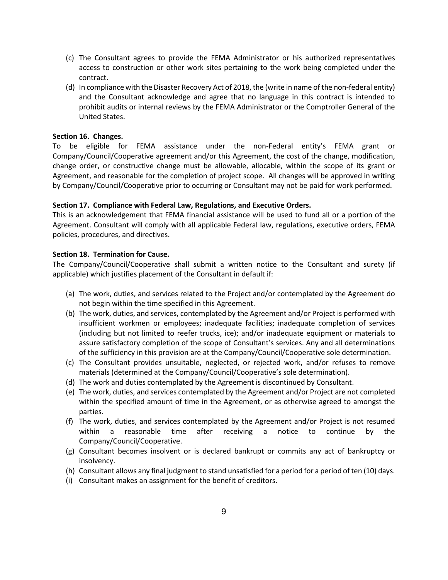- (c) The Consultant agrees to provide the FEMA Administrator or his authorized representatives access to construction or other work sites pertaining to the work being completed under the contract.
- (d) In compliance with the Disaster Recovery Act of 2018, the (write in name of the non-federal entity) and the Consultant acknowledge and agree that no language in this contract is intended to prohibit audits or internal reviews by the FEMA Administrator or the Comptroller General of the United States.

## **Section 16. Changes.**

To be eligible for FEMA assistance under the non-Federal entity's FEMA grant or Company/Council/Cooperative agreement and/or this Agreement, the cost of the change, modification, change order, or constructive change must be allowable, allocable, within the scope of its grant or Agreement, and reasonable for the completion of project scope. All changes will be approved in writing by Company/Council/Cooperative prior to occurring or Consultant may not be paid for work performed.

## **Section 17. Compliance with Federal Law, Regulations, and Executive Orders.**

This is an acknowledgement that FEMA financial assistance will be used to fund all or a portion of the Agreement. Consultant will comply with all applicable Federal law, regulations, executive orders, FEMA policies, procedures, and directives.

## **Section 18. Termination for Cause.**

The Company/Council/Cooperative shall submit a written notice to the Consultant and surety (if applicable) which justifies placement of the Consultant in default if:

- (a) The work, duties, and services related to the Project and/or contemplated by the Agreement do not begin within the time specified in this Agreement.
- (b) The work, duties, and services, contemplated by the Agreement and/or Project is performed with insufficient workmen or employees; inadequate facilities; inadequate completion of services (including but not limited to reefer trucks, ice); and/or inadequate equipment or materials to assure satisfactory completion of the scope of Consultant's services. Any and all determinations of the sufficiency in this provision are at the Company/Council/Cooperative sole determination.
- (c) The Consultant provides unsuitable, neglected, or rejected work, and/or refuses to remove materials (determined at the Company/Council/Cooperative's sole determination).
- (d) The work and duties contemplated by the Agreement is discontinued by Consultant.
- (e) The work, duties, and services contemplated by the Agreement and/or Project are not completed within the specified amount of time in the Agreement, or as otherwise agreed to amongst the parties.
- (f) The work, duties, and services contemplated by the Agreement and/or Project is not resumed within a reasonable time after receiving a notice to continue by the Company/Council/Cooperative.
- (g) Consultant becomes insolvent or is declared bankrupt or commits any act of bankruptcy or insolvency.
- (h) Consultant allows any final judgment to stand unsatisfied for a period for a period of ten (10) days.
- (i) Consultant makes an assignment for the benefit of creditors.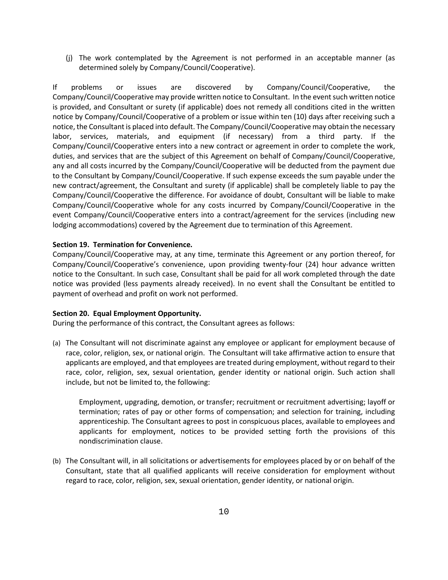(j) The work contemplated by the Agreement is not performed in an acceptable manner (as determined solely by Company/Council/Cooperative).

If problems or issues are discovered by Company/Council/Cooperative, the Company/Council/Cooperative may provide written notice to Consultant. In the event such written notice is provided, and Consultant or surety (if applicable) does not remedy all conditions cited in the written notice by Company/Council/Cooperative of a problem or issue within ten (10) days after receiving such a notice, the Consultant is placed into default. The Company/Council/Cooperative may obtain the necessary labor, services, materials, and equipment (if necessary) from a third party. If the Company/Council/Cooperative enters into a new contract or agreement in order to complete the work, duties, and services that are the subject of this Agreement on behalf of Company/Council/Cooperative, any and all costs incurred by the Company/Council/Cooperative will be deducted from the payment due to the Consultant by Company/Council/Cooperative. If such expense exceeds the sum payable under the new contract/agreement, the Consultant and surety (if applicable) shall be completely liable to pay the Company/Council/Cooperative the difference. For avoidance of doubt, Consultant will be liable to make Company/Council/Cooperative whole for any costs incurred by Company/Council/Cooperative in the event Company/Council/Cooperative enters into a contract/agreement for the services (including new lodging accommodations) covered by the Agreement due to termination of this Agreement.

## **Section 19. Termination for Convenience.**

Company/Council/Cooperative may, at any time, terminate this Agreement or any portion thereof, for Company/Council/Cooperative's convenience, upon providing twenty-four (24) hour advance written notice to the Consultant. In such case, Consultant shall be paid for all work completed through the date notice was provided (less payments already received). In no event shall the Consultant be entitled to payment of overhead and profit on work not performed.

## **Section 20. Equal Employment Opportunity.**

During the performance of this contract, the Consultant agrees as follows:

(a) The Consultant will not discriminate against any employee or applicant for employment because of race, color, religion, sex, or national origin. The Consultant will take affirmative action to ensure that applicants are employed, and that employees are treated during employment, without regard to their race, color, religion, sex, sexual orientation, gender identity or national origin. Such action shall include, but not be limited to, the following:

Employment, upgrading, demotion, or transfer; recruitment or recruitment advertising; layoff or termination; rates of pay or other forms of compensation; and selection for training, including apprenticeship. The Consultant agrees to post in conspicuous places, available to employees and applicants for employment, notices to be provided setting forth the provisions of this nondiscrimination clause.

(b) The Consultant will, in all solicitations or advertisements for employees placed by or on behalf of the Consultant, state that all qualified applicants will receive consideration for employment without regard to race, color, religion, sex, sexual orientation, gender identity, or national origin.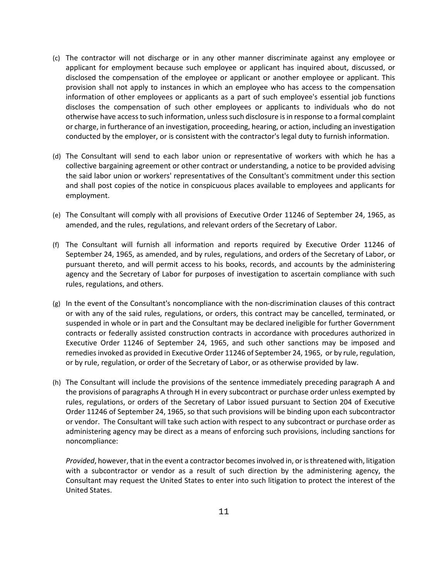- (c) The contractor will not discharge or in any other manner discriminate against any employee or applicant for employment because such employee or applicant has inquired about, discussed, or disclosed the compensation of the employee or applicant or another employee or applicant. This provision shall not apply to instances in which an employee who has access to the compensation information of other employees or applicants as a part of such employee's essential job functions discloses the compensation of such other employees or applicants to individuals who do not otherwise have access to such information, unless such disclosure is in response to a formal complaint or charge, in furtherance of an investigation, proceeding, hearing, or action, including an investigation conducted by the employer, or is consistent with the contractor's legal duty to furnish information.
- (d) The Consultant will send to each labor union or representative of workers with which he has a collective bargaining agreement or other contract or understanding, a notice to be provided advising the said labor union or workers' representatives of the Consultant's commitment under this section and shall post copies of the notice in conspicuous places available to employees and applicants for employment.
- (e) The Consultant will comply with all provisions of Executive Order 11246 of September 24, 1965, as amended, and the rules, regulations, and relevant orders of the Secretary of Labor.
- (f) The Consultant will furnish all information and reports required by Executive Order 11246 of September 24, 1965, as amended, and by rules, regulations, and orders of the Secretary of Labor, or pursuant thereto, and will permit access to his books, records, and accounts by the administering agency and the Secretary of Labor for purposes of investigation to ascertain compliance with such rules, regulations, and others.
- (g) In the event of the Consultant's noncompliance with the non-discrimination clauses of this contract or with any of the said rules, regulations, or orders, this contract may be cancelled, terminated, or suspended in whole or in part and the Consultant may be declared ineligible for further Government contracts or federally assisted construction contracts in accordance with procedures authorized in Executive Order 11246 of September 24, 1965, and such other sanctions may be imposed and remedies invoked as provided in Executive Order 11246 of September 24, 1965, or by rule, regulation, or by rule, regulation, or order of the Secretary of Labor, or as otherwise provided by law.
- (h) The Consultant will include the provisions of the sentence immediately preceding paragraph A and the provisions of paragraphs A through H in every subcontract or purchase order unless exempted by rules, regulations, or orders of the Secretary of Labor issued pursuant to Section 204 of Executive Order 11246 of September 24, 1965, so that such provisions will be binding upon each subcontractor or vendor. The Consultant will take such action with respect to any subcontract or purchase order as administering agency may be direct as a means of enforcing such provisions, including sanctions for noncompliance:

*Provided*, however, that in the event a contractor becomes involved in, or is threatened with, litigation with a subcontractor or vendor as a result of such direction by the administering agency, the Consultant may request the United States to enter into such litigation to protect the interest of the United States.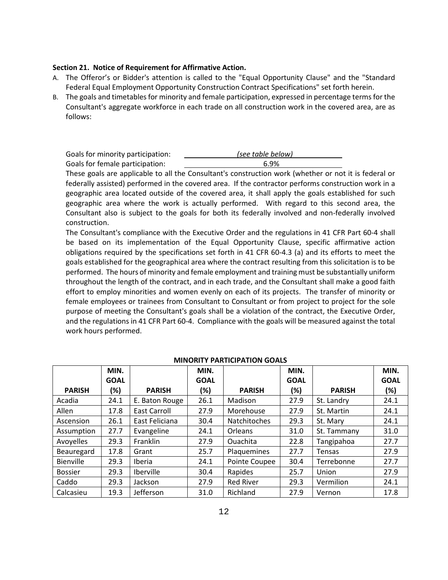## **Section 21. Notice of Requirement for Affirmative Action.**

- A. The Offeror's or Bidder's attention is called to the "Equal Opportunity Clause" and the "Standard Federal Equal Employment Opportunity Construction Contract Specifications" set forth herein.
- B. The goals and timetables for minority and female participation, expressed in percentage terms for the Consultant's aggregate workforce in each trade on all construction work in the covered area, are as follows:

| Goals for minority participation: | (see table below) |
|-----------------------------------|-------------------|
| Goals for female participation:   | 6.9%              |

These goals are applicable to all the Consultant's construction work (whether or not it is federal or federally assisted) performed in the covered area. If the contractor performs construction work in a geographic area located outside of the covered area, it shall apply the goals established for such geographic area where the work is actually performed. With regard to this second area, the Consultant also is subject to the goals for both its federally involved and non-federally involved construction.

The Consultant's compliance with the Executive Order and the regulations in 41 CFR Part 60-4 shall be based on its implementation of the Equal Opportunity Clause, specific affirmative action obligations required by the specifications set forth in 41 CFR 60-4.3 (a) and its efforts to meet the goals established for the geographical area where the contract resulting from this solicitation is to be performed. The hours of minority and female employment and training must be substantially uniform throughout the length of the contract, and in each trade, and the Consultant shall make a good faith effort to employ minorities and women evenly on each of its projects. The transfer of minority or female employees or trainees from Consultant to Consultant or from project to project for the sole purpose of meeting the Consultant's goals shall be a violation of the contract, the Executive Order, and the regulations in 41 CFR Part 60-4. Compliance with the goals will be measured against the total work hours performed.

|                  | MIN.        |                  | MIN.        |                     | MIN.        |               | MIN.        |
|------------------|-------------|------------------|-------------|---------------------|-------------|---------------|-------------|
|                  | <b>GOAL</b> |                  | <b>GOAL</b> |                     | <b>GOAL</b> |               | <b>GOAL</b> |
| <b>PARISH</b>    | (%)         | <b>PARISH</b>    | (%)         | <b>PARISH</b>       | (%)         | <b>PARISH</b> | $(\%)$      |
| Acadia           | 24.1        | E. Baton Rouge   | 26.1        | Madison             | 27.9        | St. Landry    | 24.1        |
| Allen            | 17.8        | East Carroll     | 27.9        | Morehouse           | 27.9        | St. Martin    | 24.1        |
| Ascension        | 26.1        | East Feliciana   | 30.4        | <b>Natchitoches</b> | 29.3        | St. Mary      | 24.1        |
| Assumption       | 27.7        | Evangeline       | 24.1        | Orleans             | 31.0        | St. Tammany   | 31.0        |
| Avoyelles        | 29.3        | Franklin         | 27.9        | Ouachita            | 22.8        | Tangipahoa    | 27.7        |
| Beauregard       | 17.8        | Grant            | 25.7        | Plaquemines         | 27.7        | <b>Tensas</b> | 27.9        |
| <b>Bienville</b> | 29.3        | Iberia           | 24.1        | Pointe Coupee       | 30.4        | Terrebonne    | 27.7        |
| <b>Bossier</b>   | 29.3        | <b>Iberville</b> | 30.4        | Rapides             | 25.7        | Union         | 27.9        |
| Caddo            | 29.3        | Jackson          | 27.9        | <b>Red River</b>    | 29.3        | Vermilion     | 24.1        |
| Calcasieu        | 19.3        | Jefferson        | 31.0        | Richland            | 27.9        | Vernon        | 17.8        |

#### **MINORITY PARTICIPATION GOALS**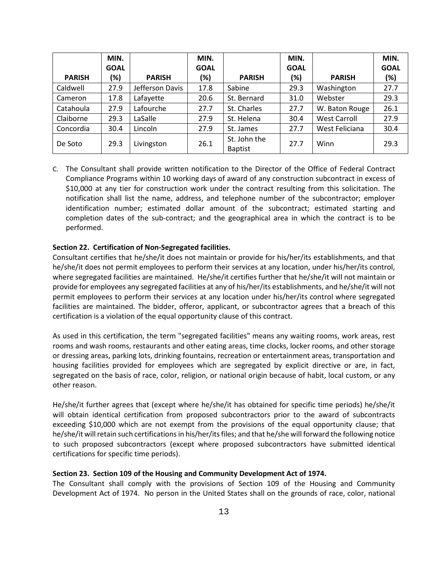|               | MIN.               |                 | MIN.               |                                | MIN.               |                     | MIN.               |
|---------------|--------------------|-----------------|--------------------|--------------------------------|--------------------|---------------------|--------------------|
| <b>PARISH</b> | <b>GOAL</b><br>(%) | <b>PARISH</b>   | <b>GOAL</b><br>(%) | <b>PARISH</b>                  | <b>GOAL</b><br>(%) | <b>PARISH</b>       | <b>GOAL</b><br>(%) |
| Caldwell      | 27.9               | Jefferson Davis | 17.8               | Sabine                         | 29.3               | Washington          | 27.7               |
| Cameron       | 17.8               | Lafayette       | 20.6               | St. Bernard                    | 31.0               | Webster             | 29.3               |
| Catahoula     | 27.9               | Lafourche       | 27.7               | St. Charles                    | 27.7               | W. Baton Rouge      | 26.1               |
| Claiborne     | 29.3               | LaSalle         | 27.9               | St. Helena                     | 30.4               | <b>West Carroll</b> | 27.9               |
| Concordia     | 30.4               | Lincoln         | 27.9               | St. James                      | 27.7               | West Feliciana      | 30.4               |
| De Soto       | 29.3               | Livingston      | 26.1               | St. John the<br><b>Baptist</b> | 27.7               | Winn                | 29.3               |

C. The Consultant shall provide written notification to the Director of the Office of Federal Contract Compliance Programs within 10 working days of award of any construction subcontract in excess of \$10,000 at any tier for construction work under the contract resulting from this solicitation. The notification shall list the name, address, and telephone number of the subcontractor; employer identification number; estimated dollar amount of the subcontract; estimated starting and completion dates of the sub-contract; and the geographical area in which the contract is to be performed.

## **Section 22. Certification of Non-Segregated facilities.**

Consultant certifies that he/she/it does not maintain or provide for his/her/its establishments, and that he/she/it does not permit employees to perform their services at any location, under his/her/its control, where segregated facilities are maintained. He/she/it certifies further that he/she/it will not maintain or provide for employees any segregated facilities at any of his/her/its establishments, and he/she/it will not permit employees to perform their services at any location under his/her/its control where segregated facilities are maintained. The bidder, offeror, applicant, or subcontractor agrees that a breach of this certification is a violation of the equal opportunity clause of this contract.

As used in this certification, the term "segregated facilities" means any waiting rooms, work areas, rest rooms and wash rooms, restaurants and other eating areas, time clocks, locker rooms, and other storage or dressing areas, parking lots, drinking fountains, recreation or entertainment areas, transportation and housing facilities provided for employees which are segregated by explicit directive or are, in fact, segregated on the basis of race, color, religion, or national origin because of habit, local custom, or any other reason.

He/she/it further agrees that (except where he/she/it has obtained for specific time periods) he/she/it will obtain identical certification from proposed subcontractors prior to the award of subcontracts exceeding \$10,000 which are not exempt from the provisions of the equal opportunity clause; that he/she/it will retain such certifications in his/her/its files; and that he/she will forward the following notice to such proposed subcontractors (except where proposed subcontractors have submitted identical certifications for specific time periods).

#### **Section 23. Section 109 of the Housing and Community Development Act of 1974.**

The Consultant shall comply with the provisions of Section 109 of the Housing and Community Development Act of 1974. No person in the United States shall on the grounds of race, color, national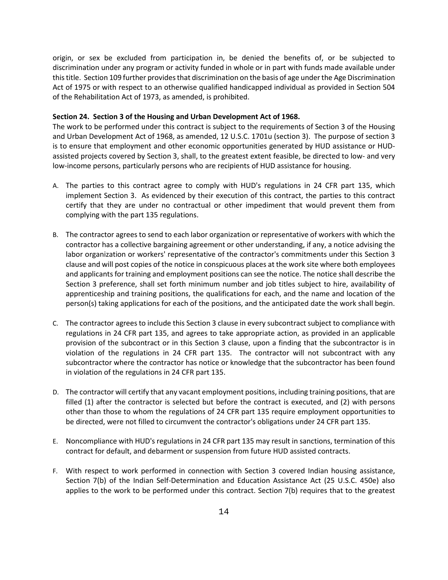origin, or sex be excluded from participation in, be denied the benefits of, or be subjected to discrimination under any program or activity funded in whole or in part with funds made available under this title. Section 109 further provides that discrimination on the basis of age under the Age Discrimination Act of 1975 or with respect to an otherwise qualified handicapped individual as provided in Section 504 of the Rehabilitation Act of 1973, as amended, is prohibited.

## **Section 24. Section 3 of the Housing and Urban Development Act of 1968.**

The work to be performed under this contract is subject to the requirements of Section 3 of the Housing and Urban Development Act of 1968, as amended, 12 U.S.C. 1701u (section 3). The purpose of section 3 is to ensure that employment and other economic opportunities generated by HUD assistance or HUDassisted projects covered by Section 3, shall, to the greatest extent feasible, be directed to low- and very low-income persons, particularly persons who are recipients of HUD assistance for housing.

- A. The parties to this contract agree to comply with HUD's regulations in 24 CFR part 135, which implement Section 3. As evidenced by their execution of this contract, the parties to this contract certify that they are under no contractual or other impediment that would prevent them from complying with the part 135 regulations.
- B. The contractor agrees to send to each labor organization or representative of workers with which the contractor has a collective bargaining agreement or other understanding, if any, a notice advising the labor organization or workers' representative of the contractor's commitments under this Section 3 clause and will post copies of the notice in conspicuous places at the work site where both employees and applicants for training and employment positions can see the notice. The notice shall describe the Section 3 preference, shall set forth minimum number and job titles subject to hire, availability of apprenticeship and training positions, the qualifications for each, and the name and location of the person(s) taking applications for each of the positions, and the anticipated date the work shall begin.
- C. The contractor agrees to include this Section 3 clause in every subcontract subject to compliance with regulations in 24 CFR part 135, and agrees to take appropriate action, as provided in an applicable provision of the subcontract or in this Section 3 clause, upon a finding that the subcontractor is in violation of the regulations in 24 CFR part 135. The contractor will not subcontract with any subcontractor where the contractor has notice or knowledge that the subcontractor has been found in violation of the regulations in 24 CFR part 135.
- D. The contractor will certify that any vacant employment positions, including training positions, that are filled (1) after the contractor is selected but before the contract is executed, and (2) with persons other than those to whom the regulations of 24 CFR part 135 require employment opportunities to be directed, were not filled to circumvent the contractor's obligations under 24 CFR part 135.
- E. Noncompliance with HUD's regulations in 24 CFR part 135 may result in sanctions, termination of this contract for default, and debarment or suspension from future HUD assisted contracts.
- F. With respect to work performed in connection with Section 3 covered Indian housing assistance, Section 7(b) of the Indian Self-Determination and Education Assistance Act (25 U.S.C. 450e) also applies to the work to be performed under this contract. Section 7(b) requires that to the greatest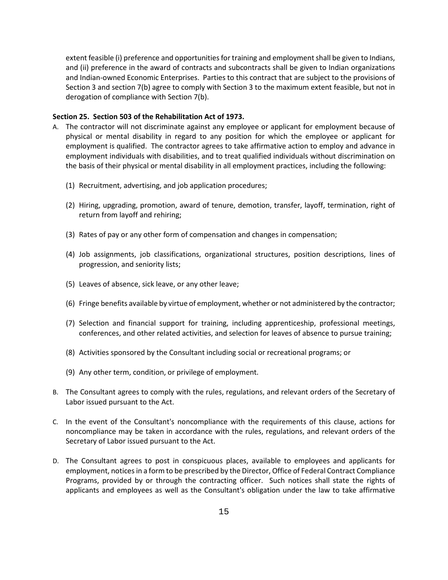extent feasible (i) preference and opportunities for training and employment shall be given to Indians, and (ii) preference in the award of contracts and subcontracts shall be given to Indian organizations and Indian-owned Economic Enterprises. Parties to this contract that are subject to the provisions of Section 3 and section 7(b) agree to comply with Section 3 to the maximum extent feasible, but not in derogation of compliance with Section 7(b).

## **Section 25. Section 503 of the Rehabilitation Act of 1973.**

- A. The contractor will not discriminate against any employee or applicant for employment because of physical or mental disability in regard to any position for which the employee or applicant for employment is qualified. The contractor agrees to take affirmative action to employ and advance in employment individuals with disabilities, and to treat qualified individuals without discrimination on the basis of their physical or mental disability in all employment practices, including the following:
	- (1) Recruitment, advertising, and job application procedures;
	- (2) Hiring, upgrading, promotion, award of tenure, demotion, transfer, layoff, termination, right of return from layoff and rehiring;
	- (3) Rates of pay or any other form of compensation and changes in compensation;
	- (4) Job assignments, job classifications, organizational structures, position descriptions, lines of progression, and seniority lists;
	- (5) Leaves of absence, sick leave, or any other leave;
	- (6) Fringe benefits available by virtue of employment, whether or not administered by the contractor;
	- (7) Selection and financial support for training, including apprenticeship, professional meetings, conferences, and other related activities, and selection for leaves of absence to pursue training;
	- (8) Activities sponsored by the Consultant including social or recreational programs; or
	- (9) Any other term, condition, or privilege of employment.
- B. The Consultant agrees to comply with the rules, regulations, and relevant orders of the Secretary of Labor issued pursuant to the Act.
- C. In the event of the Consultant's noncompliance with the requirements of this clause, actions for noncompliance may be taken in accordance with the rules, regulations, and relevant orders of the Secretary of Labor issued pursuant to the Act.
- D. The Consultant agrees to post in conspicuous places, available to employees and applicants for employment, notices in a form to be prescribed by the Director, Office of Federal Contract Compliance Programs, provided by or through the contracting officer. Such notices shall state the rights of applicants and employees as well as the Consultant's obligation under the law to take affirmative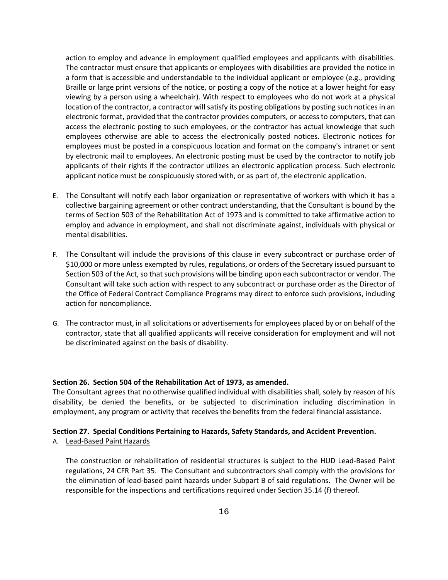action to employ and advance in employment qualified employees and applicants with disabilities. The contractor must ensure that applicants or employees with disabilities are provided the notice in a form that is accessible and understandable to the individual applicant or employee (e.g., providing Braille or large print versions of the notice, or posting a copy of the notice at a lower height for easy viewing by a person using a wheelchair). With respect to employees who do not work at a physical location of the contractor, a contractor will satisfy its posting obligations by posting such notices in an electronic format, provided that the contractor provides computers, or access to computers, that can access the electronic posting to such employees, or the contractor has actual knowledge that such employees otherwise are able to access the electronically posted notices. Electronic notices for employees must be posted in a conspicuous location and format on the company's intranet or sent by electronic mail to employees. An electronic posting must be used by the contractor to notify job applicants of their rights if the contractor utilizes an electronic application process. Such electronic applicant notice must be conspicuously stored with, or as part of, the electronic application.

- E. The Consultant will notify each labor organization or representative of workers with which it has a collective bargaining agreement or other contract understanding, that the Consultant is bound by the terms of Section 503 of the Rehabilitation Act of 1973 and is committed to take affirmative action to employ and advance in employment, and shall not discriminate against, individuals with physical or mental disabilities.
- F. The Consultant will include the provisions of this clause in every subcontract or purchase order of \$10,000 or more unless exempted by rules, regulations, or orders of the Secretary issued pursuant to Section 503 of the Act, so that such provisions will be binding upon each subcontractor or vendor. The Consultant will take such action with respect to any subcontract or purchase order as the Director of the Office of Federal Contract Compliance Programs may direct to enforce such provisions, including action for noncompliance.
- G. The contractor must, in all solicitations or advertisements for employees placed by or on behalf of the contractor, state that all qualified applicants will receive consideration for employment and will not be discriminated against on the basis of disability.

#### **Section 26. Section 504 of the Rehabilitation Act of 1973, as amended.**

The Consultant agrees that no otherwise qualified individual with disabilities shall, solely by reason of his disability, be denied the benefits, or be subjected to discrimination including discrimination in employment, any program or activity that receives the benefits from the federal financial assistance.

## **Section 27. Special Conditions Pertaining to Hazards, Safety Standards, and Accident Prevention.**  A. Lead-Based Paint Hazards

The construction or rehabilitation of residential structures is subject to the HUD Lead-Based Paint regulations, 24 CFR Part 35. The Consultant and subcontractors shall comply with the provisions for the elimination of lead-based paint hazards under Subpart B of said regulations. The Owner will be responsible for the inspections and certifications required under Section 35.14 (f) thereof.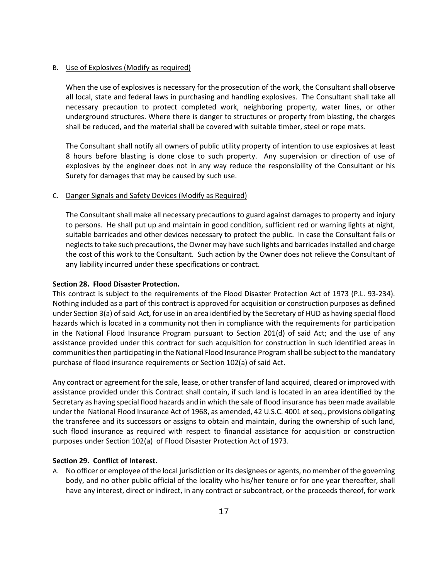#### B. Use of Explosives (Modify as required)

When the use of explosives is necessary for the prosecution of the work, the Consultant shall observe all local, state and federal laws in purchasing and handling explosives. The Consultant shall take all necessary precaution to protect completed work, neighboring property, water lines, or other underground structures. Where there is danger to structures or property from blasting, the charges shall be reduced, and the material shall be covered with suitable timber, steel or rope mats.

The Consultant shall notify all owners of public utility property of intention to use explosives at least 8 hours before blasting is done close to such property. Any supervision or direction of use of explosives by the engineer does not in any way reduce the responsibility of the Consultant or his Surety for damages that may be caused by such use.

## C. Danger Signals and Safety Devices (Modify as Required)

The Consultant shall make all necessary precautions to guard against damages to property and injury to persons. He shall put up and maintain in good condition, sufficient red or warning lights at night, suitable barricades and other devices necessary to protect the public. In case the Consultant fails or neglects to take such precautions, the Owner may have such lights and barricades installed and charge the cost of this work to the Consultant. Such action by the Owner does not relieve the Consultant of any liability incurred under these specifications or contract.

## **Section 28. Flood Disaster Protection.**

This contract is subject to the requirements of the Flood Disaster Protection Act of 1973 (P.L. 93-234). Nothing included as a part of this contract is approved for acquisition or construction purposes as defined under Section 3(a) of said Act, for use in an area identified by the Secretary of HUD as having special flood hazards which is located in a community not then in compliance with the requirements for participation in the National Flood Insurance Program pursuant to Section 201(d) of said Act; and the use of any assistance provided under this contract for such acquisition for construction in such identified areas in communities then participating in the National Flood Insurance Program shall be subject to the mandatory purchase of flood insurance requirements or Section 102(a) of said Act.

Any contract or agreement for the sale, lease, or other transfer of land acquired, cleared or improved with assistance provided under this Contract shall contain, if such land is located in an area identified by the Secretary as having special flood hazards and in which the sale of flood insurance has been made available under the National Flood Insurance Act of 1968, as amended, 42 U.S.C. 4001 et seq., provisions obligating the transferee and its successors or assigns to obtain and maintain, during the ownership of such land, such flood insurance as required with respect to financial assistance for acquisition or construction purposes under Section 102(a) of Flood Disaster Protection Act of 1973.

## **Section 29. Conflict of Interest.**

A. No officer or employee of the local jurisdiction or its designees or agents, no member of the governing body, and no other public official of the locality who his/her tenure or for one year thereafter, shall have any interest, direct or indirect, in any contract or subcontract, or the proceeds thereof, for work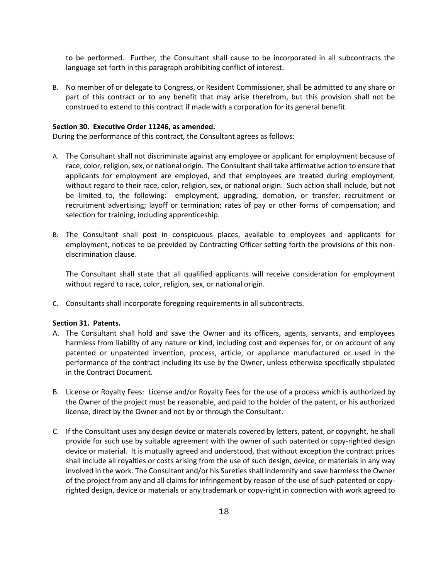to be performed. Further, the Consultant shall cause to be incorporated in all subcontracts the language set forth in this paragraph prohibiting conflict of interest.

B. No member of or delegate to Congress, or Resident Commissioner, shall be admitted to any share or part of this contract or to any benefit that may arise therefrom, but this provision shall not be construed to extend to this contract if made with a corporation for its general benefit.

#### **Section 30. Executive Order 11246, as amended.**

During the performance of this contract, the Consultant agrees as follows:

- A. The Consultant shall not discriminate against any employee or applicant for employment because of race, color, religion, sex, or national origin. The Consultant shall take affirmative action to ensure that applicants for employment are employed, and that employees are treated during employment, without regard to their race, color, religion, sex, or national origin. Such action shall include, but not be limited to, the following: employment, upgrading, demotion, or transfer; recruitment or recruitment advertising; layoff or termination; rates of pay or other forms of compensation; and selection for training, including apprenticeship.
- B. The Consultant shall post in conspicuous places, available to employees and applicants for employment, notices to be provided by Contracting Officer setting forth the provisions of this nondiscrimination clause.

The Consultant shall state that all qualified applicants will receive consideration for employment without regard to race, color, religion, sex, or national origin.

C. Consultants shall incorporate foregoing requirements in all subcontracts.

#### **Section 31. Patents.**

- A. The Consultant shall hold and save the Owner and its officers, agents, servants, and employees harmless from liability of any nature or kind, including cost and expenses for, or on account of any patented or unpatented invention, process, article, or appliance manufactured or used in the performance of the contract including its use by the Owner, unless otherwise specifically stipulated in the Contract Document.
- B. License or Royalty Fees: License and/or Royalty Fees for the use of a process which is authorized by the Owner of the project must be reasonable, and paid to the holder of the patent, or his authorized license, direct by the Owner and not by or through the Consultant.
- C. If the Consultant uses any design device or materials covered by letters, patent, or copyright, he shall provide for such use by suitable agreement with the owner of such patented or copy-righted design device or material. It is mutually agreed and understood, that without exception the contract prices shall include all royalties or costs arising from the use of such design, device, or materials in any way involved in the work. The Consultant and/or his Sureties shall indemnify and save harmless the Owner of the project from any and all claims for infringement by reason of the use of such patented or copyrighted design, device or materials or any trademark or copy-right in connection with work agreed to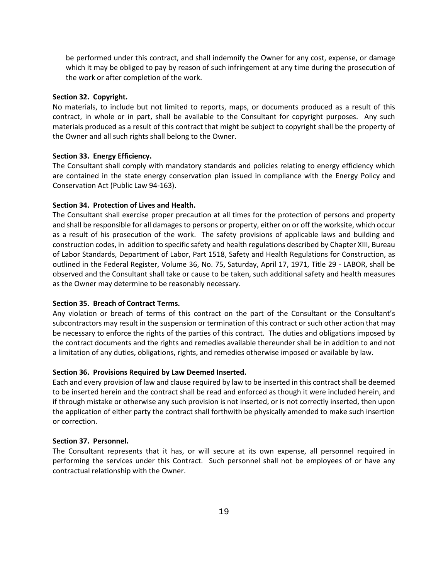be performed under this contract, and shall indemnify the Owner for any cost, expense, or damage which it may be obliged to pay by reason of such infringement at any time during the prosecution of the work or after completion of the work.

#### **Section 32. Copyright.**

No materials, to include but not limited to reports, maps, or documents produced as a result of this contract, in whole or in part, shall be available to the Consultant for copyright purposes. Any such materials produced as a result of this contract that might be subject to copyright shall be the property of the Owner and all such rights shall belong to the Owner.

## **Section 33. Energy Efficiency.**

The Consultant shall comply with mandatory standards and policies relating to energy efficiency which are contained in the state energy conservation plan issued in compliance with the Energy Policy and Conservation Act (Public Law 94-163).

## **Section 34. Protection of Lives and Health.**

The Consultant shall exercise proper precaution at all times for the protection of persons and property and shall be responsible for all damages to persons or property, either on or off the worksite, which occur as a result of his prosecution of the work. The safety provisions of applicable laws and building and construction codes, in addition to specific safety and health regulations described by Chapter XIII, Bureau of Labor Standards, Department of Labor, Part 1518, Safety and Health Regulations for Construction, as outlined in the Federal Register, Volume 36, No. 75, Saturday, April 17, 1971, Title 29 - LABOR, shall be observed and the Consultant shall take or cause to be taken, such additional safety and health measures as the Owner may determine to be reasonably necessary.

#### **Section 35. Breach of Contract Terms.**

Any violation or breach of terms of this contract on the part of the Consultant or the Consultant's subcontractors may result in the suspension or termination of this contract or such other action that may be necessary to enforce the rights of the parties of this contract. The duties and obligations imposed by the contract documents and the rights and remedies available thereunder shall be in addition to and not a limitation of any duties, obligations, rights, and remedies otherwise imposed or available by law.

## **Section 36. Provisions Required by Law Deemed Inserted.**

Each and every provision of law and clause required by law to be inserted in this contract shall be deemed to be inserted herein and the contract shall be read and enforced as though it were included herein, and if through mistake or otherwise any such provision is not inserted, or is not correctly inserted, then upon the application of either party the contract shall forthwith be physically amended to make such insertion or correction.

## **Section 37. Personnel.**

The Consultant represents that it has, or will secure at its own expense, all personnel required in performing the services under this Contract. Such personnel shall not be employees of or have any contractual relationship with the Owner.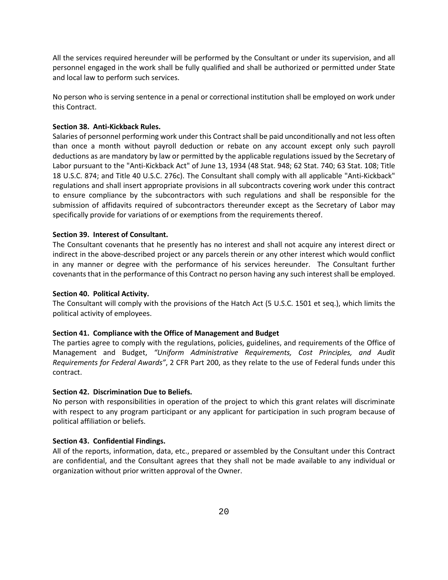All the services required hereunder will be performed by the Consultant or under its supervision, and all personnel engaged in the work shall be fully qualified and shall be authorized or permitted under State and local law to perform such services.

No person who is serving sentence in a penal or correctional institution shall be employed on work under this Contract.

## **Section 38. Anti-Kickback Rules.**

Salaries of personnel performing work under this Contract shall be paid unconditionally and not less often than once a month without payroll deduction or rebate on any account except only such payroll deductions as are mandatory by law or permitted by the applicable regulations issued by the Secretary of Labor pursuant to the "Anti-Kickback Act" of June 13, 1934 (48 Stat. 948; 62 Stat. 740; 63 Stat. 108; Title 18 U.S.C. 874; and Title 40 U.S.C. 276c). The Consultant shall comply with all applicable "Anti-Kickback" regulations and shall insert appropriate provisions in all subcontracts covering work under this contract to ensure compliance by the subcontractors with such regulations and shall be responsible for the submission of affidavits required of subcontractors thereunder except as the Secretary of Labor may specifically provide for variations of or exemptions from the requirements thereof.

## **Section 39. Interest of Consultant.**

The Consultant covenants that he presently has no interest and shall not acquire any interest direct or indirect in the above-described project or any parcels therein or any other interest which would conflict in any manner or degree with the performance of his services hereunder. The Consultant further covenants that in the performance of this Contract no person having any such interest shall be employed.

## **Section 40. Political Activity.**

The Consultant will comply with the provisions of the Hatch Act (5 U.S.C. 1501 et seq.), which limits the political activity of employees.

## **Section 41. Compliance with the Office of Management and Budget**

The parties agree to comply with the regulations, policies, guidelines, and requirements of the Office of Management and Budget, *"Uniform Administrative Requirements, Cost Principles, and Audit Requirements for Federal Awards"*, 2 CFR Part 200, as they relate to the use of Federal funds under this contract.

## **Section 42. Discrimination Due to Beliefs.**

No person with responsibilities in operation of the project to which this grant relates will discriminate with respect to any program participant or any applicant for participation in such program because of political affiliation or beliefs.

## **Section 43. Confidential Findings.**

All of the reports, information, data, etc., prepared or assembled by the Consultant under this Contract are confidential, and the Consultant agrees that they shall not be made available to any individual or organization without prior written approval of the Owner.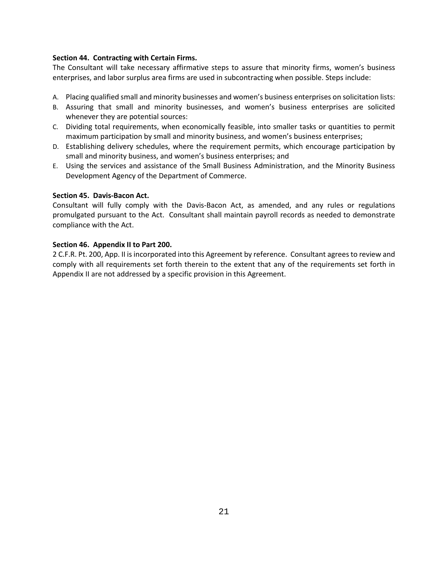## **Section 44. Contracting with Certain Firms.**

The Consultant will take necessary affirmative steps to assure that minority firms, women's business enterprises, and labor surplus area firms are used in subcontracting when possible. Steps include:

- A. Placing qualified small and minority businesses and women's business enterprises on solicitation lists:
- B. Assuring that small and minority businesses, and women's business enterprises are solicited whenever they are potential sources:
- C. Dividing total requirements, when economically feasible, into smaller tasks or quantities to permit maximum participation by small and minority business, and women's business enterprises;
- D. Establishing delivery schedules, where the requirement permits, which encourage participation by small and minority business, and women's business enterprises; and
- E. Using the services and assistance of the Small Business Administration, and the Minority Business Development Agency of the Department of Commerce.

## **Section 45. Davis-Bacon Act.**

Consultant will fully comply with the Davis-Bacon Act, as amended, and any rules or regulations promulgated pursuant to the Act. Consultant shall maintain payroll records as needed to demonstrate compliance with the Act.

## **Section 46. Appendix II to Part 200.**

2 C.F.R. Pt. 200, App. II is incorporated into this Agreement by reference. Consultant agrees to review and comply with all requirements set forth therein to the extent that any of the requirements set forth in Appendix II are not addressed by a specific provision in this Agreement.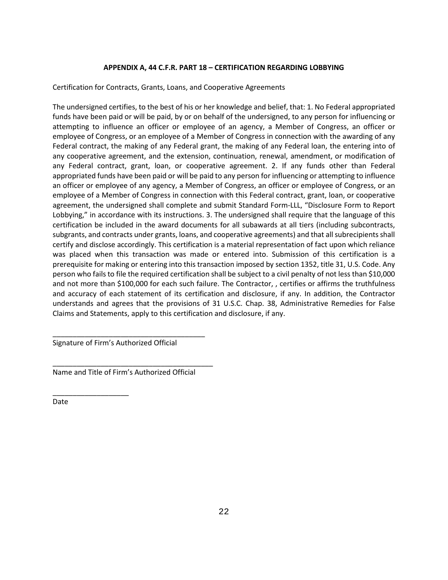## **APPENDIX A, 44 C.F.R. PART 18 – CERTIFICATION REGARDING LOBBYING**

Certification for Contracts, Grants, Loans, and Cooperative Agreements

The undersigned certifies, to the best of his or her knowledge and belief, that: 1. No Federal appropriated funds have been paid or will be paid, by or on behalf of the undersigned, to any person for influencing or attempting to influence an officer or employee of an agency, a Member of Congress, an officer or employee of Congress, or an employee of a Member of Congress in connection with the awarding of any Federal contract, the making of any Federal grant, the making of any Federal loan, the entering into of any cooperative agreement, and the extension, continuation, renewal, amendment, or modification of any Federal contract, grant, loan, or cooperative agreement. 2. If any funds other than Federal appropriated funds have been paid or will be paid to any person for influencing or attempting to influence an officer or employee of any agency, a Member of Congress, an officer or employee of Congress, or an employee of a Member of Congress in connection with this Federal contract, grant, loan, or cooperative agreement, the undersigned shall complete and submit Standard Form-LLL, "Disclosure Form to Report Lobbying," in accordance with its instructions. 3. The undersigned shall require that the language of this certification be included in the award documents for all subawards at all tiers (including subcontracts, subgrants, and contracts under grants, loans, and cooperative agreements) and that all subrecipients shall certify and disclose accordingly. This certification is a material representation of fact upon which reliance was placed when this transaction was made or entered into. Submission of this certification is a prerequisite for making or entering into this transaction imposed by section 1352, title 31, U.S. Code. Any person who fails to file the required certification shall be subject to a civil penalty of not less than \$10,000 and not more than \$100,000 for each such failure. The Contractor, , certifies or affirms the truthfulness and accuracy of each statement of its certification and disclosure, if any. In addition, the Contractor understands and agrees that the provisions of 31 U.S.C. Chap. 38, Administrative Remedies for False Claims and Statements, apply to this certification and disclosure, if any.

Signature of Firm's Authorized Official

Name and Title of Firm's Authorized Official

\_\_\_\_\_\_\_\_\_\_\_\_\_\_\_\_\_\_\_\_\_\_\_\_\_\_\_\_\_\_\_\_\_\_\_\_\_\_

\_\_\_\_\_\_\_\_\_\_\_\_\_\_\_\_\_\_\_\_\_\_\_\_\_\_\_\_\_\_\_\_\_\_\_\_\_\_\_\_

Date

\_\_\_\_\_\_\_\_\_\_\_\_\_\_\_\_\_\_\_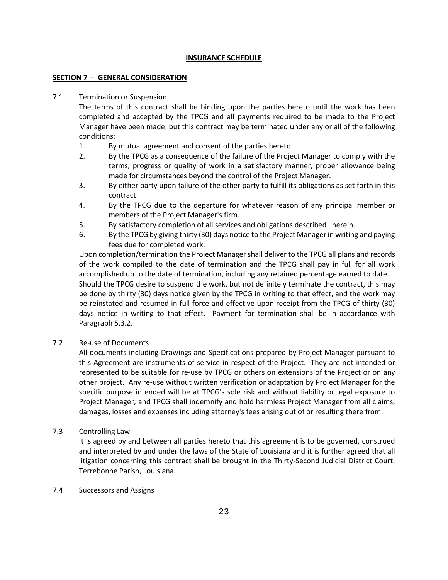## **INSURANCE SCHEDULE**

## **SECTION 7 -- GENERAL CONSIDERATION**

## 7.1 Termination or Suspension

The terms of this contract shall be binding upon the parties hereto until the work has been completed and accepted by the TPCG and all payments required to be made to the Project Manager have been made; but this contract may be terminated under any or all of the following conditions:

- 1. By mutual agreement and consent of the parties hereto.
- 2. By the TPCG as a consequence of the failure of the Project Manager to comply with the terms, progress or quality of work in a satisfactory manner, proper allowance being made for circumstances beyond the control of the Project Manager.
- 3. By either party upon failure of the other party to fulfill its obligations as set forth in this contract.
- 4. By the TPCG due to the departure for whatever reason of any principal member or members of the Project Manager's firm.
- 5. By satisfactory completion of all services and obligations described herein.
- 6. By the TPCG by giving thirty (30) days notice to the Project Manager in writing and paying fees due for completed work.

Upon completion/termination the Project Manager shall deliver to the TPCG all plans and records of the work compiled to the date of termination and the TPCG shall pay in full for all work accomplished up to the date of termination, including any retained percentage earned to date. Should the TPCG desire to suspend the work, but not definitely terminate the contract, this may be done by thirty (30) days notice given by the TPCG in writing to that effect, and the work may be reinstated and resumed in full force and effective upon receipt from the TPCG of thirty (30) days notice in writing to that effect. Payment for termination shall be in accordance with

# Paragraph 5.3.2.

# 7.2 Re-use of Documents

All documents including Drawings and Specifications prepared by Project Manager pursuant to this Agreement are instruments of service in respect of the Project. They are not intended or represented to be suitable for re-use by TPCG or others on extensions of the Project or on any other project. Any re-use without written verification or adaptation by Project Manager for the specific purpose intended will be at TPCG's sole risk and without liability or legal exposure to Project Manager; and TPCG shall indemnify and hold harmless Project Manager from all claims, damages, losses and expenses including attorney's fees arising out of or resulting there from.

## 7.3 Controlling Law

It is agreed by and between all parties hereto that this agreement is to be governed, construed and interpreted by and under the laws of the State of Louisiana and it is further agreed that all litigation concerning this contract shall be brought in the Thirty-Second Judicial District Court, Terrebonne Parish, Louisiana.

## 7.4 Successors and Assigns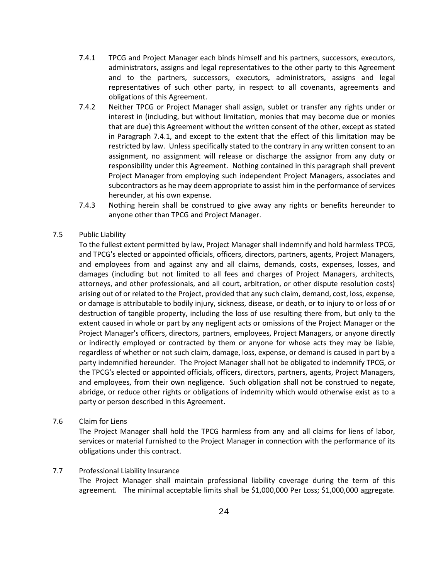- 7.4.1 TPCG and Project Manager each binds himself and his partners, successors, executors, administrators, assigns and legal representatives to the other party to this Agreement and to the partners, successors, executors, administrators, assigns and legal representatives of such other party, in respect to all covenants, agreements and obligations of this Agreement.
- 7.4.2 Neither TPCG or Project Manager shall assign, sublet or transfer any rights under or interest in (including, but without limitation, monies that may become due or monies that are due) this Agreement without the written consent of the other, except as stated in Paragraph 7.4.1, and except to the extent that the effect of this limitation may be restricted by law. Unless specifically stated to the contrary in any written consent to an assignment, no assignment will release or discharge the assignor from any duty or responsibility under this Agreement. Nothing contained in this paragraph shall prevent Project Manager from employing such independent Project Managers, associates and subcontractors as he may deem appropriate to assist him in the performance of services hereunder, at his own expense.
- 7.4.3 Nothing herein shall be construed to give away any rights or benefits hereunder to anyone other than TPCG and Project Manager.
- 7.5 Public Liability

To the fullest extent permitted by law, Project Manager shall indemnify and hold harmless TPCG, and TPCG's elected or appointed officials, officers, directors, partners, agents, Project Managers, and employees from and against any and all claims, demands, costs, expenses, losses, and damages (including but not limited to all fees and charges of Project Managers, architects, attorneys, and other professionals, and all court, arbitration, or other dispute resolution costs) arising out of or related to the Project, provided that any such claim, demand, cost, loss, expense, or damage is attributable to bodily injury, sickness, disease, or death, or to injury to or loss of or destruction of tangible property, including the loss of use resulting there from, but only to the extent caused in whole or part by any negligent acts or omissions of the Project Manager or the Project Manager's officers, directors, partners, employees, Project Managers, or anyone directly or indirectly employed or contracted by them or anyone for whose acts they may be liable, regardless of whether or not such claim, damage, loss, expense, or demand is caused in part by a party indemnified hereunder. The Project Manager shall not be obligated to indemnify TPCG, or the TPCG's elected or appointed officials, officers, directors, partners, agents, Project Managers, and employees, from their own negligence. Such obligation shall not be construed to negate, abridge, or reduce other rights or obligations of indemnity which would otherwise exist as to a party or person described in this Agreement.

7.6 Claim for Liens

The Project Manager shall hold the TPCG harmless from any and all claims for liens of labor, services or material furnished to the Project Manager in connection with the performance of its obligations under this contract.

# 7.7 Professional Liability Insurance

The Project Manager shall maintain professional liability coverage during the term of this agreement. The minimal acceptable limits shall be \$1,000,000 Per Loss; \$1,000,000 aggregate.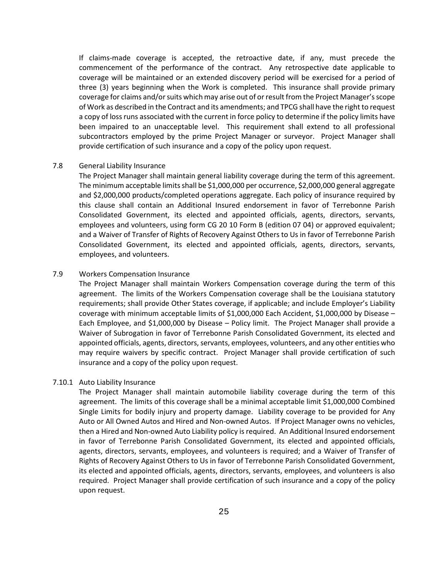If claims-made coverage is accepted, the retroactive date, if any, must precede the commencement of the performance of the contract. Any retrospective date applicable to coverage will be maintained or an extended discovery period will be exercised for a period of three (3) years beginning when the Work is completed. This insurance shall provide primary coverage for claims and/or suits which may arise out of or result from the Project Manager's scope of Work as described in the Contract and its amendments; and TPCG shall have the right to request a copy of loss runs associated with the current in force policy to determine if the policy limits have been impaired to an unacceptable level. This requirement shall extend to all professional subcontractors employed by the prime Project Manager or surveyor. Project Manager shall provide certification of such insurance and a copy of the policy upon request.

## 7.8 General Liability Insurance

The Project Manager shall maintain general liability coverage during the term of this agreement. The minimum acceptable limits shall be \$1,000,000 per occurrence, \$2,000,000 general aggregate and \$2,000,000 products/completed operations aggregate. Each policy of insurance required by this clause shall contain an Additional Insured endorsement in favor of Terrebonne Parish Consolidated Government, its elected and appointed officials, agents, directors, servants, employees and volunteers, using form CG 20 10 Form B (edition 07 04) or approved equivalent; and a Waiver of Transfer of Rights of Recovery Against Others to Us in favor of Terrebonne Parish Consolidated Government, its elected and appointed officials, agents, directors, servants, employees, and volunteers.

# 7.9 Workers Compensation Insurance

The Project Manager shall maintain Workers Compensation coverage during the term of this agreement. The limits of the Workers Compensation coverage shall be the Louisiana statutory requirements; shall provide Other States coverage, if applicable; and include Employer's Liability coverage with minimum acceptable limits of \$1,000,000 Each Accident, \$1,000,000 by Disease – Each Employee, and \$1,000,000 by Disease – Policy limit. The Project Manager shall provide a Waiver of Subrogation in favor of Terrebonne Parish Consolidated Government, its elected and appointed officials, agents, directors, servants, employees, volunteers, and any other entities who may require waivers by specific contract. Project Manager shall provide certification of such insurance and a copy of the policy upon request.

#### 7.10.1 Auto Liability Insurance

The Project Manager shall maintain automobile liability coverage during the term of this agreement. The limits of this coverage shall be a minimal acceptable limit \$1,000,000 Combined Single Limits for bodily injury and property damage. Liability coverage to be provided for Any Auto or All Owned Autos and Hired and Non-owned Autos. If Project Manager owns no vehicles, then a Hired and Non-owned Auto Liability policy is required. An Additional Insured endorsement in favor of Terrebonne Parish Consolidated Government, its elected and appointed officials, agents, directors, servants, employees, and volunteers is required; and a Waiver of Transfer of Rights of Recovery Against Others to Us in favor of Terrebonne Parish Consolidated Government, its elected and appointed officials, agents, directors, servants, employees, and volunteers is also required. Project Manager shall provide certification of such insurance and a copy of the policy upon request.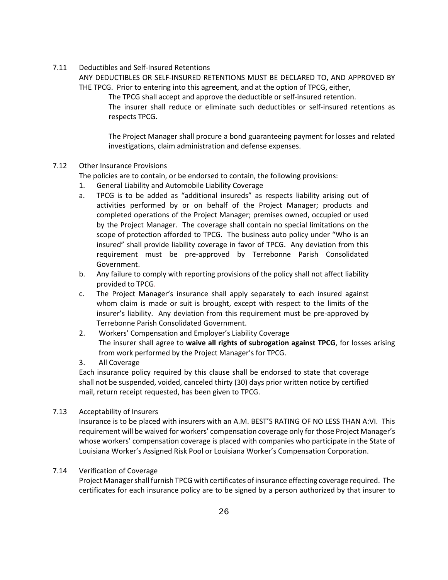## 7.11 Deductibles and Self-Insured Retentions

ANY DEDUCTIBLES OR SELF-INSURED RETENTIONS MUST BE DECLARED TO, AND APPROVED BY THE TPCG. Prior to entering into this agreement, and at the option of TPCG, either,

The TPCG shall accept and approve the deductible or self-insured retention.

The insurer shall reduce or eliminate such deductibles or self-insured retentions as respects TPCG.

The Project Manager shall procure a bond guaranteeing payment for losses and related investigations, claim administration and defense expenses.

## 7.12 Other Insurance Provisions

The policies are to contain, or be endorsed to contain, the following provisions:

- 1. General Liability and Automobile Liability Coverage
- a. TPCG is to be added as "additional insureds" as respects liability arising out of activities performed by or on behalf of the Project Manager; products and completed operations of the Project Manager; premises owned, occupied or used by the Project Manager. The coverage shall contain no special limitations on the scope of protection afforded to TPCG. The business auto policy under "Who is an insured" shall provide liability coverage in favor of TPCG. Any deviation from this requirement must be pre-approved by Terrebonne Parish Consolidated Government.
- b. Any failure to comply with reporting provisions of the policy shall not affect liability provided to TPCG.
- c. The Project Manager's insurance shall apply separately to each insured against whom claim is made or suit is brought, except with respect to the limits of the insurer's liability. Any deviation from this requirement must be pre-approved by Terrebonne Parish Consolidated Government.
- 2. Workers' Compensation and Employer's Liability Coverage The insurer shall agree to **waive all rights of subrogation against TPCG**, for losses arising from work performed by the Project Manager's for TPCG.
- 3. All Coverage

Each insurance policy required by this clause shall be endorsed to state that coverage shall not be suspended, voided, canceled thirty (30) days prior written notice by certified mail, return receipt requested, has been given to TPCG.

## 7.13 Acceptability of Insurers

Insurance is to be placed with insurers with an A.M. BEST'S RATING OF NO LESS THAN A:VI. This requirement will be waived for workers' compensation coverage only for those Project Manager's whose workers' compensation coverage is placed with companies who participate in the State of Louisiana Worker's Assigned Risk Pool or Louisiana Worker's Compensation Corporation.

## 7.14 Verification of Coverage

Project Manager shall furnish TPCG with certificates of insurance effecting coverage required. The certificates for each insurance policy are to be signed by a person authorized by that insurer to